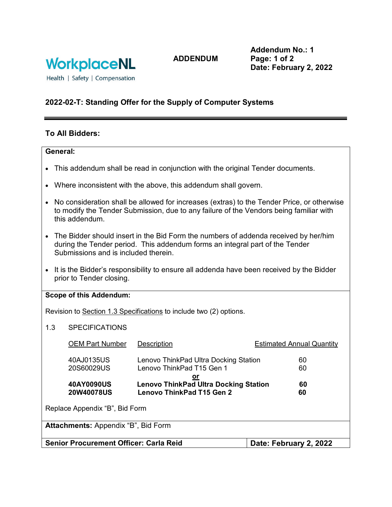

**ADDENDUM**

**Addendum No.: 1 Page: 1 of 2 Date: February 2, 2022**

Health | Safety | Compensation

### **2022-02-T: Standing Offer for the Supply of Computer Systems**

### **To All Bidders:**

#### **General:**

- This addendum shall be read in conjunction with the original Tender documents.
- Where inconsistent with the above, this addendum shall govern.
- No consideration shall be allowed for increases (extras) to the Tender Price, or otherwise to modify the Tender Submission, due to any failure of the Vendors being familiar with this addendum.
- The Bidder should insert in the Bid Form the numbers of addenda received by her/him during the Tender period. This addendum forms an integral part of the Tender Submissions and is included therein.
- It is the Bidder's responsibility to ensure all addenda have been received by the Bidder prior to Tender closing.

### **Scope of this Addendum:**

Revision to Section 1.3 Specifications to include two (2) options.

1.3 SPECIFICATIONS

| <b>OEM Part Number</b>                     | <b>Description</b>                                                                            | <b>Estimated Annual Quantity</b> |  |  |  |
|--------------------------------------------|-----------------------------------------------------------------------------------------------|----------------------------------|--|--|--|
| 40AJ0135US<br>20S60029US                   | Lenovo ThinkPad Ultra Docking Station<br>Lenovo ThinkPad T15 Gen 1                            | 60<br>60                         |  |  |  |
| 40AY0090US<br><b>20W40078US</b>            | <u>or</u><br><b>Lenovo ThinkPad Ultra Docking Station</b><br><b>Lenovo ThinkPad T15 Gen 2</b> | 60<br>60                         |  |  |  |
| Replace Appendix "B", Bid Form             |                                                                                               |                                  |  |  |  |
| <b>Attachments:</b> Appendix "B", Bid Form |                                                                                               |                                  |  |  |  |

**Senior Procurement Officer: Carla Reid Date: February 2, 2022**